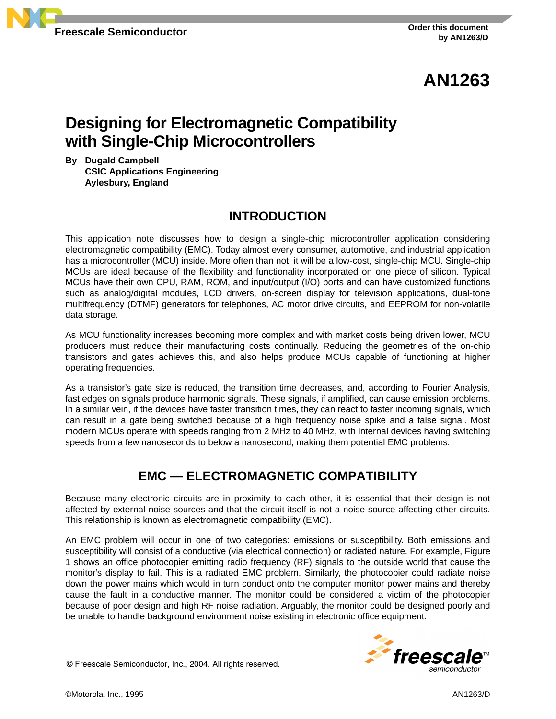

# **AN1263**

# **Designing for Electromagnetic Compatibility with Single-Chip Microcontrollers**

**By Dugald Campbell CSIC Applications Engineering Aylesbury, England**

## **INTRODUCTION**

This application note discusses how to design a single-chip microcontroller application considering electromagnetic compatibility (EMC). Today almost every consumer, automotive, and industrial application has a microcontroller (MCU) inside. More often than not, it will be a low-cost, single-chip MCU. Single-chip MCUs are ideal because of the flexibility and functionality incorporated on one piece of silicon. Typical MCUs have their own CPU, RAM, ROM, and input/output (I/O) ports and can have customized functions such as analog/digital modules, LCD drivers, on-screen display for television applications, dual-tone multifrequency (DTMF) generators for telephones, AC motor drive circuits, and EEPROM for non-volatile data storage.

As MCU functionality increases becoming more complex and with market costs being driven lower, MCU producers must reduce their manufacturing costs continually. Reducing the geometries of the on-chip transistors and gates achieves this, and also helps produce MCUs capable of functioning at higher operating frequencies.

As a transistor's gate size is reduced, the transition time decreases, and, according to Fourier Analysis, fast edges on signals produce harmonic signals. These signals, if amplified, can cause emission problems. In a similar vein, if the devices have faster transition times, they can react to faster incoming signals, which can result in a gate being switched because of a high frequency noise spike and a false signal. Most modern MCUs operate with speeds ranging from 2 MHz to 40 MHz, with internal devices having switching speeds from a few nanoseconds to below a nanosecond, making them potential EMC problems.

# **EMC — ELECTROMAGNETIC COMPATIBILITY**

Because many electronic circuits are in proximity to each other, it is essential that their design is not affected by external noise sources and that the circuit itself is not a noise source affecting other circuits. This relationship is known as electromagnetic compatibility (EMC).

An EMC problem will occur in one of two categories: emissions or susceptibility. Both emissions and susceptibility will consist of a conductive (via electrical connection) or radiated nature. For example, [Figure](#page-1-0) [1](#page-1-0) shows an office photocopier emitting radio frequency (RF) signals to the outside world that cause the monitor's display to fail. This is a radiated EMC problem. Similarly, the photocopier could radiate noise down the power mains which would in turn conduct onto the computer monitor power mains and thereby cause the fault in a conductive manner. The monitor could be considered a victim of the photocopier because of poor design and high RF noise radiation. Arguably, the monitor could be designed poorly and be unable to handle background environment noise existing in electronic office equipment.

© Freescale Semiconductor, Inc., 2004. All rights reserved.

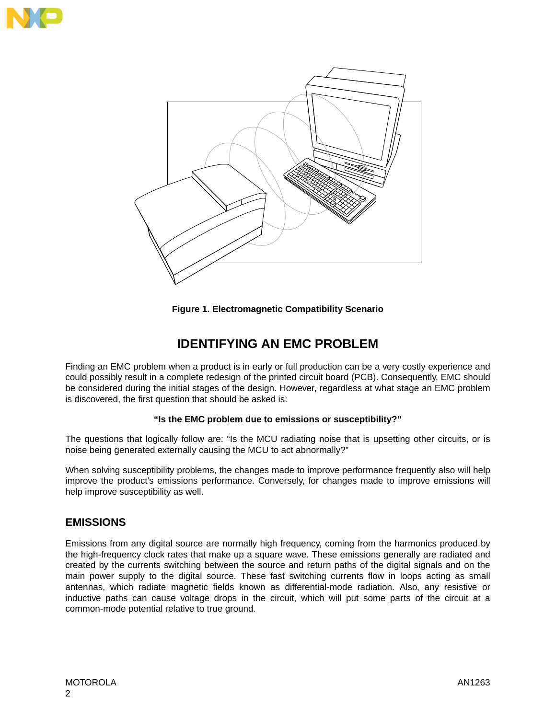<span id="page-1-0"></span>



**Figure 1. Electromagnetic Compatibility Scenario**

# **IDENTIFYING AN EMC PROBLEM**

Finding an EMC problem when a product is in early or full production can be a very costly experience and could possibly result in a complete redesign of the printed circuit board (PCB). Consequently, EMC should be considered during the initial stages of the design. However, regardless at what stage an EMC problem is discovered, the first question that should be asked is:

#### **"Is the EMC problem due to emissions or susceptibility?"**

The questions that logically follow are: "Is the MCU radiating noise that is upsetting other circuits, or is noise being generated externally causing the MCU to act abnormally?"

When solving susceptibility problems, the changes made to improve performance frequently also will help improve the product's emissions performance. Conversely, for changes made to improve emissions will help improve susceptibility as well.

### **EMISSIONS**

Emissions from any digital source are normally high frequency, coming from the harmonics produced by the high-frequency clock rates that make up a square wave. These emissions generally are radiated and created by the currents switching between the source and return paths of the digital signals and on the main power supply to the digital source. These fast switching currents flow in loops acting as small antennas, which radiate magnetic fields known as differential-mode radiation. Also, any resistive or inductive paths can cause voltage drops in the circuit, which will put some parts of the circuit at a common-mode potential relative to true ground.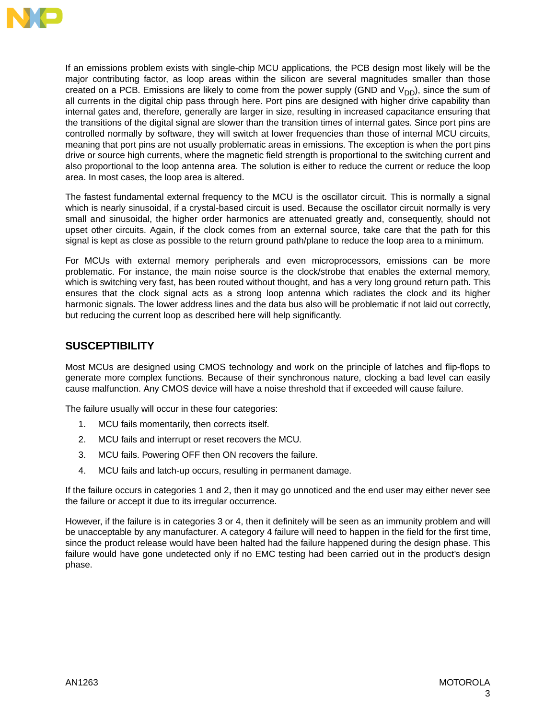

If an emissions problem exists with single-chip MCU applications, the PCB design most likely will be the major contributing factor, as loop areas within the silicon are several magnitudes smaller than those created on a PCB. Emissions are likely to come from the power supply (GND and  $V_{DD}$ ), since the sum of all currents in the digital chip pass through here. Port pins are designed with higher drive capability than internal gates and, therefore, generally are larger in size, resulting in increased capacitance ensuring that the transitions of the digital signal are slower than the transition times of internal gates. Since port pins are controlled normally by software, they will switch at lower frequencies than those of internal MCU circuits, meaning that port pins are not usually problematic areas in emissions. The exception is when the port pins drive or source high currents, where the magnetic field strength is proportional to the switching current and also proportional to the loop antenna area. The solution is either to reduce the current or reduce the loop area. In most cases, the loop area is altered.

The fastest fundamental external frequency to the MCU is the oscillator circuit. This is normally a signal which is nearly sinusoidal, if a crystal-based circuit is used. Because the oscillator circuit normally is very small and sinusoidal, the higher order harmonics are attenuated greatly and, consequently, should not upset other circuits. Again, if the clock comes from an external source, take care that the path for this signal is kept as close as possible to the return ground path/plane to reduce the loop area to a minimum.

For MCUs with external memory peripherals and even microprocessors, emissions can be more problematic. For instance, the main noise source is the clock/strobe that enables the external memory, which is switching very fast, has been routed without thought, and has a very long ground return path. This ensures that the clock signal acts as a strong loop antenna which radiates the clock and its higher harmonic signals. The lower address lines and the data bus also will be problematic if not laid out correctly, but reducing the current loop as described here will help significantly.

### **SUSCEPTIBILITY**

Most MCUs are designed using CMOS technology and work on the principle of latches and flip-flops to generate more complex functions. Because of their synchronous nature, clocking a bad level can easily cause malfunction. Any CMOS device will have a noise threshold that if exceeded will cause failure.

The failure usually will occur in these four categories:

- 1. MCU fails momentarily, then corrects itself.
- 2. MCU fails and interrupt or reset recovers the MCU.
- 3. MCU fails. Powering OFF then ON recovers the failure.
- 4. MCU fails and latch-up occurs, resulting in permanent damage.

If the failure occurs in categories 1 and 2, then it may go unnoticed and the end user may either never see the failure or accept it due to its irregular occurrence.

However, if the failure is in categories 3 or 4, then it definitely will be seen as an immunity problem and will be unacceptable by any manufacturer. A category 4 failure will need to happen in the field for the first time, since the product release would have been halted had the failure happened during the design phase. This failure would have gone undetected only if no EMC testing had been carried out in the product's design phase.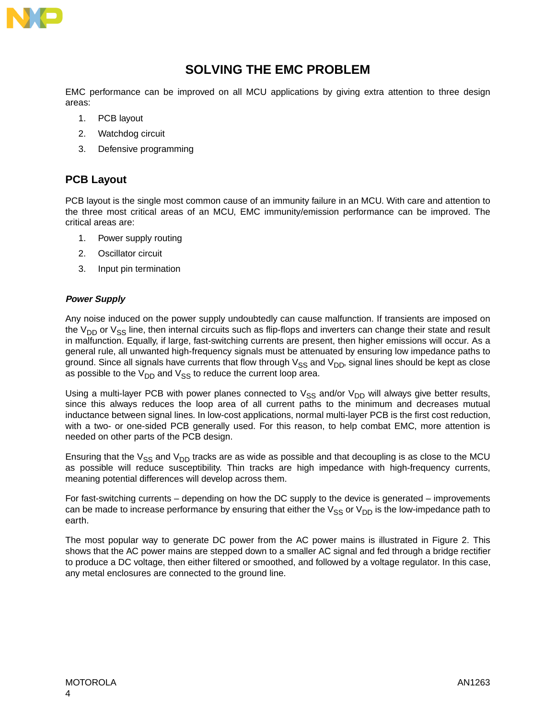

# **SOLVING THE EMC PROBLEM**

EMC performance can be improved on all MCU applications by giving extra attention to three design areas:

- 1. PCB layout
- 2. Watchdog circuit
- 3. Defensive programming

### **PCB Layout**

PCB layout is the single most common cause of an immunity failure in an MCU. With care and attention to the three most critical areas of an MCU, EMC immunity/emission performance can be improved. The critical areas are:

- 1. Power supply routing
- 2. Oscillator circuit
- 3. Input pin termination

#### **Power Supply**

Any noise induced on the power supply undoubtedly can cause malfunction. If transients are imposed on the  $V_{DD}$  or  $V_{SS}$  line, then internal circuits such as flip-flops and inverters can change their state and result in malfunction. Equally, if large, fast-switching currents are present, then higher emissions will occur. As a general rule, all unwanted high-frequency signals must be attenuated by ensuring low impedance paths to ground. Since all signals have currents that flow through  $V_{SS}$  and  $V_{DD}$ , signal lines should be kept as close as possible to the  $V_{DD}$  and  $V_{SS}$  to reduce the current loop area.

Using a multi-layer PCB with power planes connected to  $V_{SS}$  and/or  $V_{DD}$  will always give better results, since this always reduces the loop area of all current paths to the minimum and decreases mutual inductance between signal lines. In low-cost applications, normal multi-layer PCB is the first cost reduction, with a two- or one-sided PCB generally used. For this reason, to help combat EMC, more attention is needed on other parts of the PCB design.

Ensuring that the  $V_{SS}$  and  $V_{DD}$  tracks are as wide as possible and that decoupling is as close to the MCU as possible will reduce susceptibility. Thin tracks are high impedance with high-frequency currents, meaning potential differences will develop across them.

For fast-switching currents – depending on how the DC supply to the device is generated – improvements can be made to increase performance by ensuring that either the  $V_{SS}$  or  $V_{DD}$  is the low-impedance path to earth.

The most popular way to generate DC power from the AC power mains is illustrated in [Figure 2](#page-4-0). This shows that the AC power mains are stepped down to a smaller AC signal and fed through a bridge rectifier to produce a DC voltage, then either filtered or smoothed, and followed by a voltage regulator. In this case, any metal enclosures are connected to the ground line.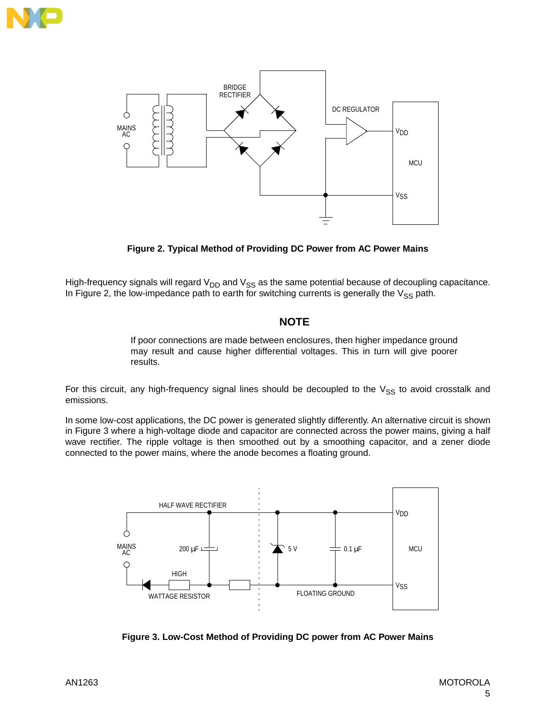<span id="page-4-0"></span>



**Figure 2. Typical Method of Providing DC Power from AC Power Mains**

High-frequency signals will regard  $V_{DD}$  and  $V_{SS}$  as the same potential because of decoupling capacitance. In Figure 2, the low-impedance path to earth for switching currents is generally the  $V_{SS}$  path.

### **NOTE**

If poor connections are made between enclosures, then higher impedance ground may result and cause higher differential voltages. This in turn will give poorer results.

For this circuit, any high-frequency signal lines should be decoupled to the  $V_{SS}$  to avoid crosstalk and emissions.

In some low-cost applications, the DC power is generated slightly differently. An alternative circuit is shown in Figure 3 where a high-voltage diode and capacitor are connected across the power mains, giving a half wave rectifier. The ripple voltage is then smoothed out by a smoothing capacitor, and a zener diode connected to the power mains, where the anode becomes a floating ground.



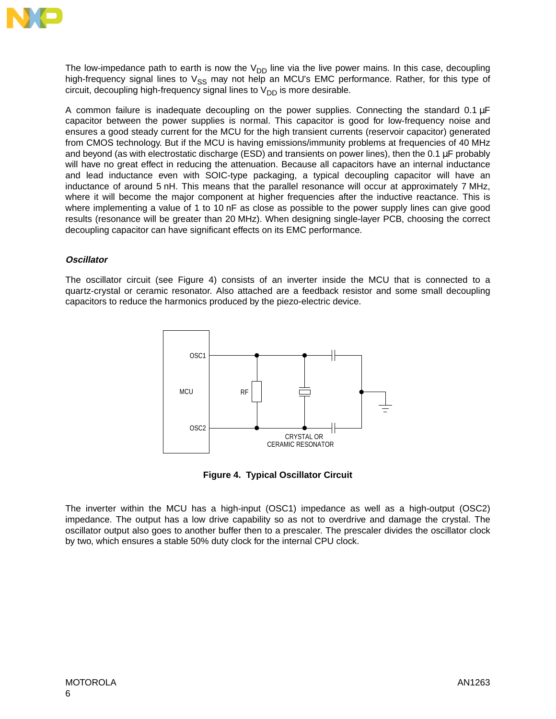

The low-impedance path to earth is now the  $V_{DD}$  line via the live power mains. In this case, decoupling high-frequency signal lines to  $V_{SS}$  may not help an MCU's EMC performance. Rather, for this type of circuit, decoupling high-frequency signal lines to  $V_{DD}$  is more desirable.

A common failure is inadequate decoupling on the power supplies. Connecting the standard 0.1 µF capacitor between the power supplies is normal. This capacitor is good for low-frequency noise and ensures a good steady current for the MCU for the high transient currents (reservoir capacitor) generated from CMOS technology. But if the MCU is having emissions/immunity problems at frequencies of 40 MHz and beyond (as with electrostatic discharge (ESD) and transients on power lines), then the 0.1 µF probably will have no great effect in reducing the attenuation. Because all capacitors have an internal inductance and lead inductance even with SOIC-type packaging, a typical decoupling capacitor will have an inductance of around 5 nH. This means that the parallel resonance will occur at approximately 7 MHz, where it will become the major component at higher frequencies after the inductive reactance. This is where implementing a value of 1 to 10 nF as close as possible to the power supply lines can give good results (resonance will be greater than 20 MHz). When designing single-layer PCB, choosing the correct decoupling capacitor can have significant effects on its EMC performance.

#### **Oscillator**

The oscillator circuit (see Figure 4) consists of an inverter inside the MCU that is connected to a quartz-crystal or ceramic resonator. Also attached are a feedback resistor and some small decoupling capacitors to reduce the harmonics produced by the piezo-electric device.



**Figure 4. Typical Oscillator Circuit**

The inverter within the MCU has a high-input (OSC1) impedance as well as a high-output (OSC2) impedance. The output has a low drive capability so as not to overdrive and damage the crystal. The oscillator output also goes to another buffer then to a prescaler. The prescaler divides the oscillator clock by two, which ensures a stable 50% duty clock for the internal CPU clock.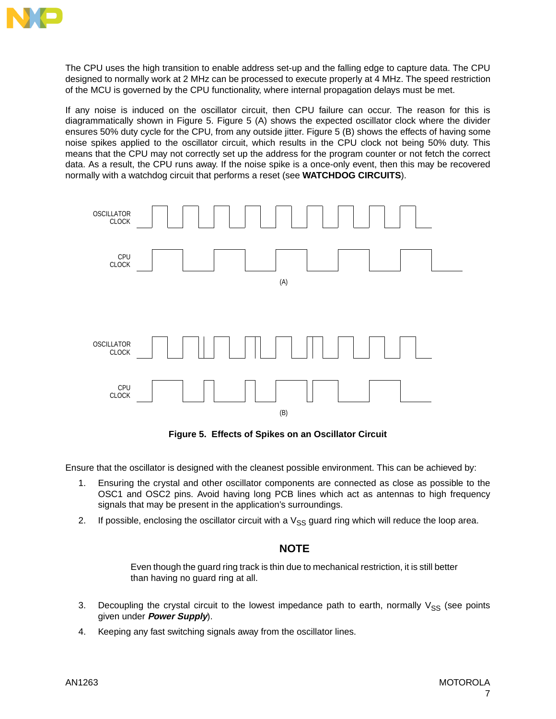

The CPU uses the high transition to enable address set-up and the falling edge to capture data. The CPU designed to normally work at 2 MHz can be processed to execute properly at 4 MHz. The speed restriction of the MCU is governed by the CPU functionality, where internal propagation delays must be met.

If any noise is induced on the oscillator circuit, then CPU failure can occur. The reason for this is diagrammatically shown in Figure 5. Figure 5 (A) shows the expected oscillator clock where the divider ensures 50% duty cycle for the CPU, from any outside jitter. Figure 5 (B) shows the effects of having some noise spikes applied to the oscillator circuit, which results in the CPU clock not being 50% duty. This means that the CPU may not correctly set up the address for the program counter or not fetch the correct data. As a result, the CPU runs away. If the noise spike is a once-only event, then this may be recovered normally with a watchdog circuit that performs a reset (see **WATCHDOG CIRCUITS**).



**Figure 5. Effects of Spikes on an Oscillator Circuit**

Ensure that the oscillator is designed with the cleanest possible environment. This can be achieved by:

- 1. Ensuring the crystal and other oscillator components are connected as close as possible to the OSC1 and OSC2 pins. Avoid having long PCB lines which act as antennas to high frequency signals that may be present in the application's surroundings.
- 2. If possible, enclosing the oscillator circuit with a  $V_{SS}$  guard ring which will reduce the loop area.

#### **NOTE**

Even though the guard ring track is thin due to mechanical restriction, it is still better than having no guard ring at all.

- 3. Decoupling the crystal circuit to the lowest impedance path to earth, normally  $V_{SS}$  (see points given under **Power Supply**).
- 4. Keeping any fast switching signals away from the oscillator lines.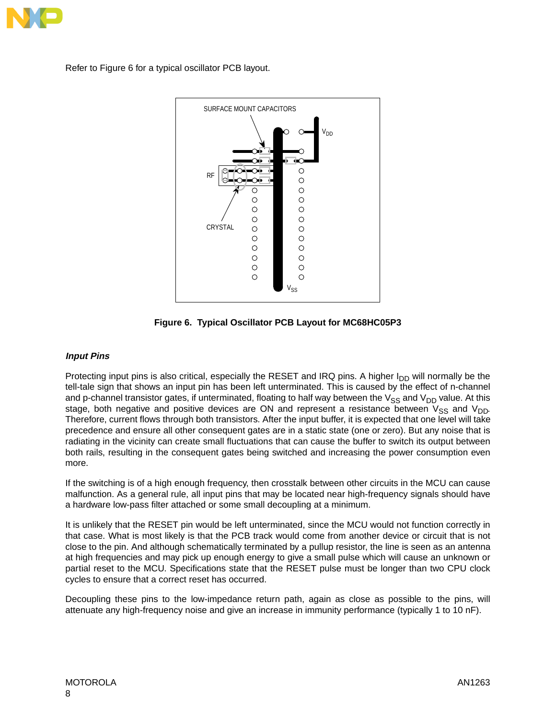

Refer to Figure 6 for a typical oscillator PCB layout.



**Figure 6. Typical Oscillator PCB Layout for MC68HC05P3**

#### **Input Pins**

Protecting input pins is also critical, especially the RESET and IRQ pins. A higher  $I_{DD}$  will normally be the tell-tale sign that shows an input pin has been left unterminated. This is caused by the effect of n-channel and p-channel transistor gates, if unterminated, floating to half way between the  $V_{SS}$  and  $V_{DD}$  value. At this stage, both negative and positive devices are ON and represent a resistance between  $V_{SS}$  and  $V_{DD}$ . Therefore, current flows through both transistors. After the input buffer, it is expected that one level will take precedence and ensure all other consequent gates are in a static state (one or zero). But any noise that is radiating in the vicinity can create small fluctuations that can cause the buffer to switch its output between both rails, resulting in the consequent gates being switched and increasing the power consumption even more.

If the switching is of a high enough frequency, then crosstalk between other circuits in the MCU can cause malfunction. As a general rule, all input pins that may be located near high-frequency signals should have a hardware low-pass filter attached or some small decoupling at a minimum.

It is unlikely that the RESET pin would be left unterminated, since the MCU would not function correctly in that case. What is most likely is that the PCB track would come from another device or circuit that is not close to the pin. And although schematically terminated by a pullup resistor, the line is seen as an antenna at high frequencies and may pick up enough energy to give a small pulse which will cause an unknown or partial reset to the MCU. Specifications state that the RESET pulse must be longer than two CPU clock cycles to ensure that a correct reset has occurred.

Decoupling these pins to the low-impedance return path, again as close as possible to the pins, will attenuate any high-frequency noise and give an increase in immunity performance (typically 1 to 10 nF).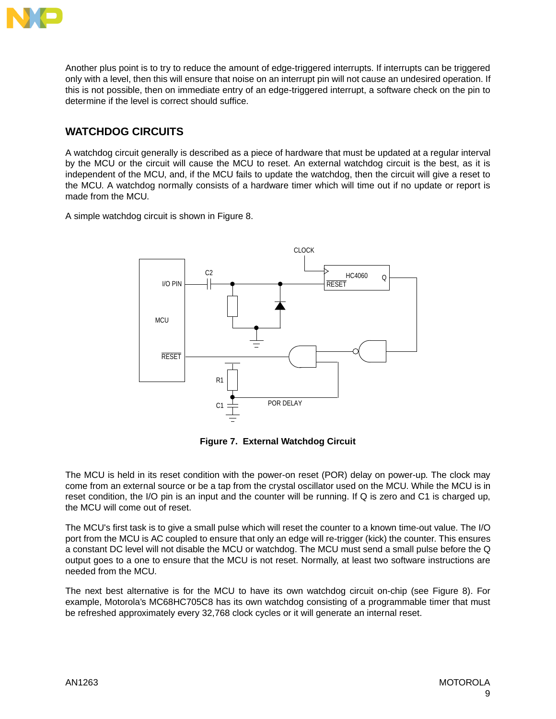

Another plus point is to try to reduce the amount of edge-triggered interrupts. If interrupts can be triggered only with a level, then this will ensure that noise on an interrupt pin will not cause an undesired operation. If this is not possible, then on immediate entry of an edge-triggered interrupt, a software check on the pin to determine if the level is correct should suffice.

### **WATCHDOG CIRCUITS**

A watchdog circuit generally is described as a piece of hardware that must be updated at a regular interval by the MCU or the circuit will cause the MCU to reset. An external watchdog circuit is the best, as it is independent of the MCU, and, if the MCU fails to update the watchdog, then the circuit will give a reset to the MCU. A watchdog normally consists of a hardware timer which will time out if no update or report is made from the MCU.

A simple watchdog circuit is shown in [Figure 8](#page-9-0).



**Figure 7. External Watchdog Circuit**

The MCU is held in its reset condition with the power-on reset (POR) delay on power-up. The clock may come from an external source or be a tap from the crystal oscillator used on the MCU. While the MCU is in reset condition, the I/O pin is an input and the counter will be running. If Q is zero and C1 is charged up, the MCU will come out of reset.

The MCU's first task is to give a small pulse which will reset the counter to a known time-out value. The I/O port from the MCU is AC coupled to ensure that only an edge will re-trigger (kick) the counter. This ensures a constant DC level will not disable the MCU or watchdog. The MCU must send a small pulse before the Q output goes to a one to ensure that the MCU is not reset. Normally, at least two software instructions are needed from the MCU.

The next best alternative is for the MCU to have its own watchdog circuit on-chip (see [Figure 8\)](#page-9-0). For example, Motorola's MC68HC705C8 has its own watchdog consisting of a programmable timer that must be refreshed approximately every 32,768 clock cycles or it will generate an internal reset.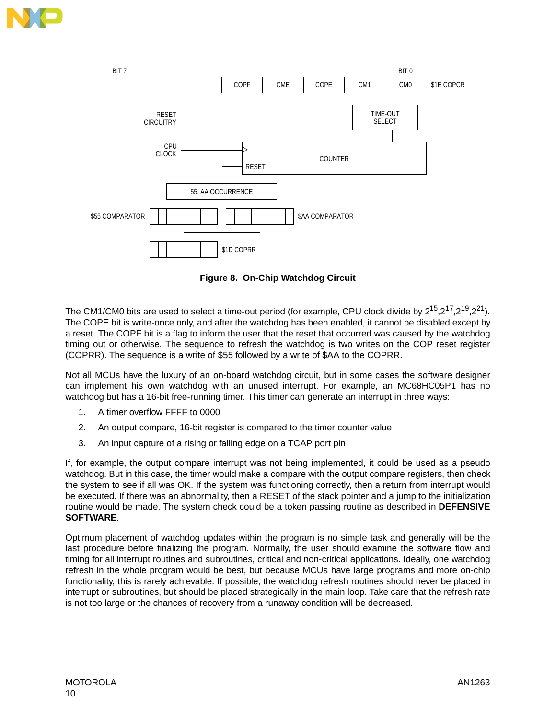<span id="page-9-0"></span>



**Figure 8. On-Chip Watchdog Circuit**

The CM1/CM0 bits are used to select a time-out period (for example, CPU clock divide by  $2^{15}$ ,  $2^{17}$ ,  $2^{19}$ ,  $2^{21}$ ). The COPE bit is write-once only, and after the watchdog has been enabled, it cannot be disabled except by a reset. The COPF bit is a flag to inform the user that the reset that occurred was caused by the watchdog timing out or otherwise. The sequence to refresh the watchdog is two writes on the COP reset register (COPRR). The sequence is a write of \$55 followed by a write of \$AA to the COPRR.

Not all MCUs have the luxury of an on-board watchdog circuit, but in some cases the software designer can implement his own watchdog with an unused interrupt. For example, an MC68HC05P1 has no watchdog but has a 16-bit free-running timer. This timer can generate an interrupt in three ways:

- 1. A timer overflow FFFF to 0000
- 2. An output compare, 16-bit register is compared to the timer counter value
- 3. An input capture of a rising or falling edge on a TCAP port pin

If, for example, the output compare interrupt was not being implemented, it could be used as a pseudo watchdog. But in this case, the timer would make a compare with the output compare registers, then check the system to see if all was OK. If the system was functioning correctly, then a return from interrupt would be executed. If there was an abnormality, then a RESET of the stack pointer and a jump to the initialization routine would be made. The system check could be a token passing routine as described in **DEFENSIVE SOFTWARE**.

Optimum placement of watchdog updates within the program is no simple task and generally will be the last procedure before finalizing the program. Normally, the user should examine the software flow and timing for all interrupt routines and subroutines, critical and non-critical applications. Ideally, one watchdog refresh in the whole program would be best, but because MCUs have large programs and more on-chip functionality, this is rarely achievable. If possible, the watchdog refresh routines should never be placed in interrupt or subroutines, but should be placed strategically in the main loop. Take care that the refresh rate is not too large or the chances of recovery from a runaway condition will be decreased.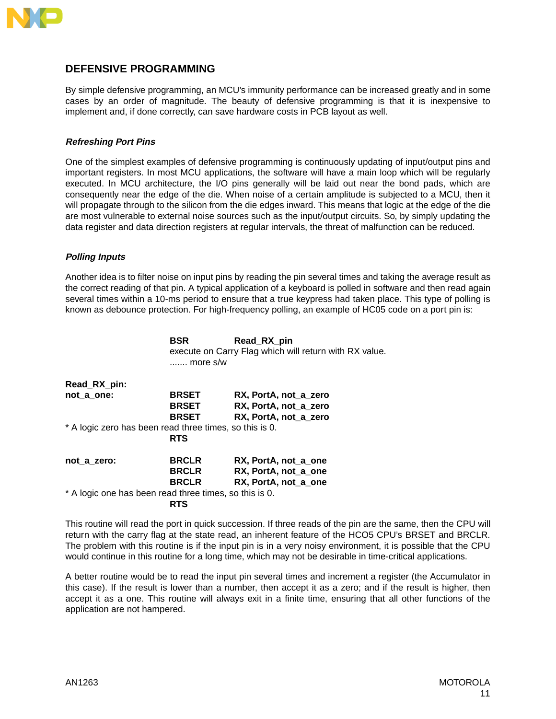

### **DEFENSIVE PROGRAMMING**

By simple defensive programming, an MCU's immunity performance can be increased greatly and in some cases by an order of magnitude. The beauty of defensive programming is that it is inexpensive to implement and, if done correctly, can save hardware costs in PCB layout as well.

#### **Refreshing Port Pins**

One of the simplest examples of defensive programming is continuously updating of input/output pins and important registers. In most MCU applications, the software will have a main loop which will be regularly executed. In MCU architecture, the I/O pins generally will be laid out near the bond pads, which are consequently near the edge of the die. When noise of a certain amplitude is subjected to a MCU, then it will propagate through to the silicon from the die edges inward. This means that logic at the edge of the die are most vulnerable to external noise sources such as the input/output circuits. So, by simply updating the data register and data direction registers at regular intervals, the threat of malfunction can be reduced.

#### **Polling Inputs**

Another idea is to filter noise on input pins by reading the pin several times and taking the average result as the correct reading of that pin. A typical application of a keyboard is polled in software and then read again several times within a 10-ms period to ensure that a true keypress had taken place. This type of polling is known as debounce protection. For high-frequency polling, an example of HC05 code on a port pin is:

|                                                         | <b>BSR</b>        | Read_RX_pin                                            |
|---------------------------------------------------------|-------------------|--------------------------------------------------------|
|                                                         | $\ldots$ more s/w | execute on Carry Flag which will return with RX value. |
|                                                         |                   |                                                        |
| Read_RX_pin:                                            |                   |                                                        |
| not a one:                                              | <b>BRSET</b>      | RX, PortA, not a zero                                  |
|                                                         | <b>BRSET</b>      | RX, PortA, not_a_zero                                  |
|                                                         | <b>BRSET</b>      | RX, PortA, not_a_zero                                  |
| * A logic zero has been read three times, so this is 0. |                   |                                                        |
|                                                         | <b>RTS</b>        |                                                        |
| not a zero:                                             | <b>BRCLR</b>      | RX, PortA, not a one                                   |
|                                                         | <b>BRCLR</b>      | RX, PortA, not a one                                   |
|                                                         | <b>BRCLR</b>      | RX, PortA, not a one                                   |
| * A logic one has been read three times, so this is 0.  |                   |                                                        |
|                                                         | <b>RTS</b>        |                                                        |

This routine will read the port in quick succession. If three reads of the pin are the same, then the CPU will return with the carry flag at the state read, an inherent feature of the HCO5 CPU's BRSET and BRCLR. The problem with this routine is if the input pin is in a very noisy environment, it is possible that the CPU would continue in this routine for a long time, which may not be desirable in time-critical applications.

A better routine would be to read the input pin several times and increment a register (the Accumulator in this case). If the result is lower than a number, then accept it as a zero; and if the result is higher, then accept it as a one. This routine will always exit in a finite time, ensuring that all other functions of the application are not hampered.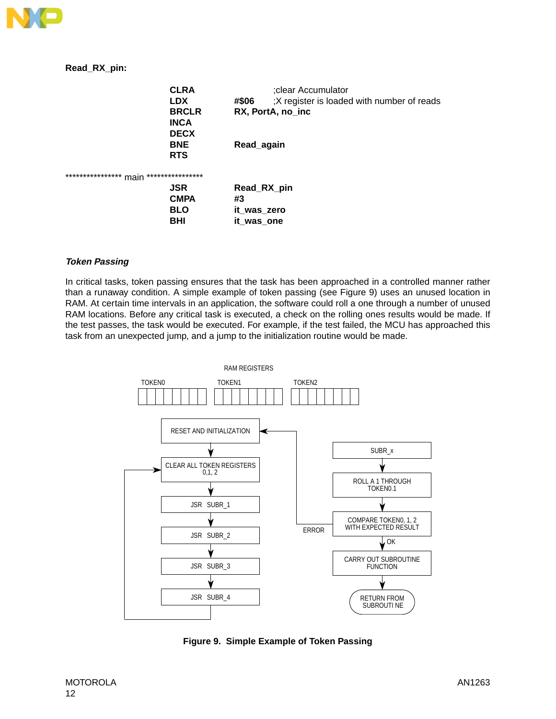

#### **Read\_RX\_pin:**

| <b>CLRA</b>                                  | ;clear Accumulator                                  |  |
|----------------------------------------------|-----------------------------------------------------|--|
| <b>LDX</b>                                   | ;X register is loaded with number of reads<br>#\$06 |  |
| <b>BRCLR</b>                                 | RX, PortA, no inc                                   |  |
| <b>INCA</b>                                  |                                                     |  |
| <b>DECX</b>                                  |                                                     |  |
| <b>BNE</b>                                   | Read_again                                          |  |
| <b>RTS</b>                                   |                                                     |  |
| ****************<br>****************<br>main |                                                     |  |
| <b>JSR</b>                                   | Read_RX_pin                                         |  |
| <b>CMPA</b>                                  | #3                                                  |  |
| <b>BLO</b>                                   | it_was_zero                                         |  |
| <b>BHI</b>                                   | it_was_one                                          |  |

#### **Token Passing**

In critical tasks, token passing ensures that the task has been approached in a controlled manner rather than a runaway condition. A simple example of token passing (see Figure 9) uses an unused location in RAM. At certain time intervals in an application, the software could roll a one through a number of unused RAM locations. Before any critical task is executed, a check on the rolling ones results would be made. If the test passes, the task would be executed. For example, if the test failed, the MCU has approached this task from an unexpected jump, and a jump to the initialization routine would be made.



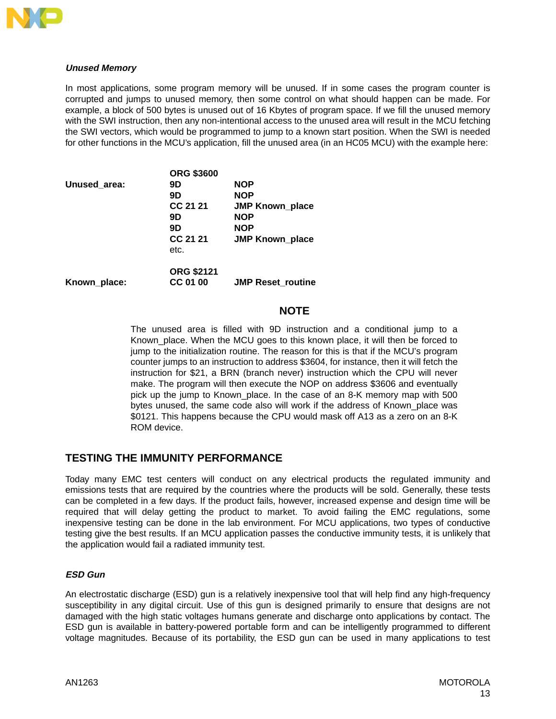

#### **Unused Memory**

In most applications, some program memory will be unused. If in some cases the program counter is corrupted and jumps to unused memory, then some control on what should happen can be made. For example, a block of 500 bytes is unused out of 16 Kbytes of program space. If we fill the unused memory with the SWI instruction, then any non-intentional access to the unused area will result in the MCU fetching the SWI vectors, which would be programmed to jump to a known start position. When the SWI is needed for other functions in the MCU's application, fill the unused area (in an HC05 MCU) with the example here:

| 9D                | <b>NOP</b>               |
|-------------------|--------------------------|
| 9D                | <b>NOP</b>               |
| CC 21 21          | <b>JMP Known place</b>   |
| 9D                | <b>NOP</b>               |
| 9D                | <b>NOP</b>               |
| CC 21 21          | <b>JMP Known_place</b>   |
| etc.              |                          |
| <b>ORG \$2121</b> |                          |
| CC 01 00          | <b>JMP Reset routine</b> |
|                   | <b>ORG \$3600</b>        |

#### **NOTE**

The unused area is filled with 9D instruction and a conditional jump to a Known place. When the MCU goes to this known place, it will then be forced to jump to the initialization routine. The reason for this is that if the MCU's program counter jumps to an instruction to address \$3604, for instance, then it will fetch the instruction for \$21, a BRN (branch never) instruction which the CPU will never make. The program will then execute the NOP on address \$3606 and eventually pick up the jump to Known\_place. In the case of an 8-K memory map with 500 bytes unused, the same code also will work if the address of Known\_place was \$0121. This happens because the CPU would mask off A13 as a zero on an 8-K ROM device.

#### **TESTING THE IMMUNITY PERFORMANCE**

Today many EMC test centers will conduct on any electrical products the regulated immunity and emissions tests that are required by the countries where the products will be sold. Generally, these tests can be completed in a few days. If the product fails, however, increased expense and design time will be required that will delay getting the product to market. To avoid failing the EMC regulations, some inexpensive testing can be done in the lab environment. For MCU applications, two types of conductive testing give the best results. If an MCU application passes the conductive immunity tests, it is unlikely that the application would fail a radiated immunity test.

#### **ESD Gun**

An electrostatic discharge (ESD) gun is a relatively inexpensive tool that will help find any high-frequency susceptibility in any digital circuit. Use of this gun is designed primarily to ensure that designs are not damaged with the high static voltages humans generate and discharge onto applications by contact. The ESD gun is available in battery-powered portable form and can be intelligently programmed to different voltage magnitudes. Because of its portability, the ESD gun can be used in many applications to test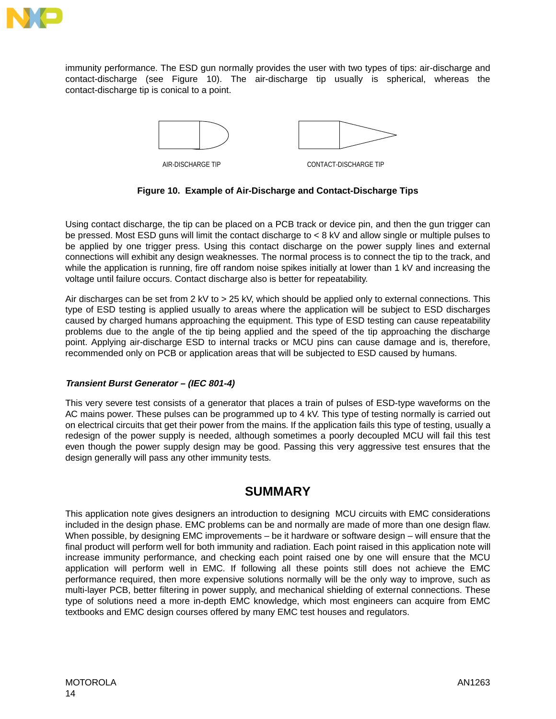

immunity performance. The ESD gun normally provides the user with two types of tips: air-discharge and contact-discharge (see Figure 10). The air-discharge tip usually is spherical, whereas the contact-discharge tip is conical to a point.



**Figure 10. Example of Air-Discharge and Contact-Discharge Tips**

Using contact discharge, the tip can be placed on a PCB track or device pin, and then the gun trigger can be pressed. Most ESD guns will limit the contact discharge to < 8 kV and allow single or multiple pulses to be applied by one trigger press. Using this contact discharge on the power supply lines and external connections will exhibit any design weaknesses. The normal process is to connect the tip to the track, and while the application is running, fire off random noise spikes initially at lower than 1 kV and increasing the voltage until failure occurs. Contact discharge also is better for repeatability.

Air discharges can be set from 2 kV to > 25 kV, which should be applied only to external connections. This type of ESD testing is applied usually to areas where the application will be subject to ESD discharges caused by charged humans approaching the equipment. This type of ESD testing can cause repeatability problems due to the angle of the tip being applied and the speed of the tip approaching the discharge point. Applying air-discharge ESD to internal tracks or MCU pins can cause damage and is, therefore, recommended only on PCB or application areas that will be subjected to ESD caused by humans.

#### **Transient Burst Generator – (IEC 801-4)**

This very severe test consists of a generator that places a train of pulses of ESD-type waveforms on the AC mains power. These pulses can be programmed up to 4 kV. This type of testing normally is carried out on electrical circuits that get their power from the mains. If the application fails this type of testing, usually a redesign of the power supply is needed, although sometimes a poorly decoupled MCU will fail this test even though the power supply design may be good. Passing this very aggressive test ensures that the design generally will pass any other immunity tests.

## **SUMMARY**

This application note gives designers an introduction to designing MCU circuits with EMC considerations included in the design phase. EMC problems can be and normally are made of more than one design flaw. When possible, by designing EMC improvements – be it hardware or software design – will ensure that the final product will perform well for both immunity and radiation. Each point raised in this application note will increase immunity performance, and checking each point raised one by one will ensure that the MCU application will perform well in EMC. If following all these points still does not achieve the EMC performance required, then more expensive solutions normally will be the only way to improve, such as multi-layer PCB, better filtering in power supply, and mechanical shielding of external connections. These type of solutions need a more in-depth EMC knowledge, which most engineers can acquire from EMC textbooks and EMC design courses offered by many EMC test houses and regulators.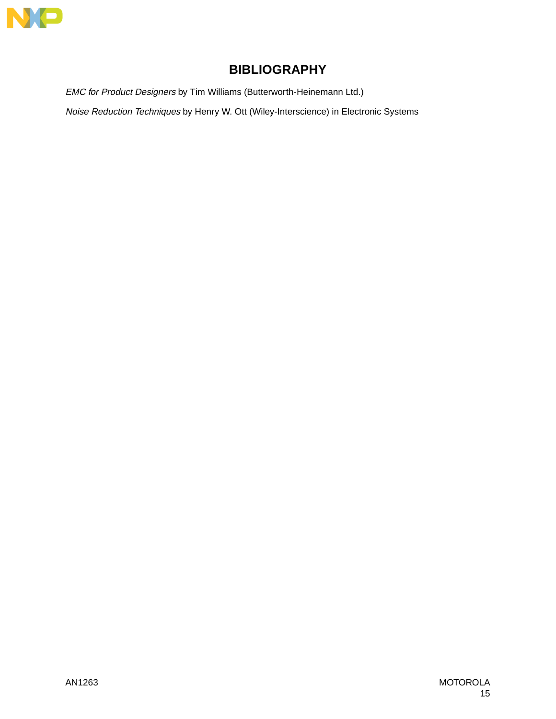

# **BIBLIOGRAPHY**

EMC for Product Designers by Tim Williams (Butterworth-Heinemann Ltd.)

Noise Reduction Techniques by Henry W. Ott (Wiley-Interscience) in Electronic Systems